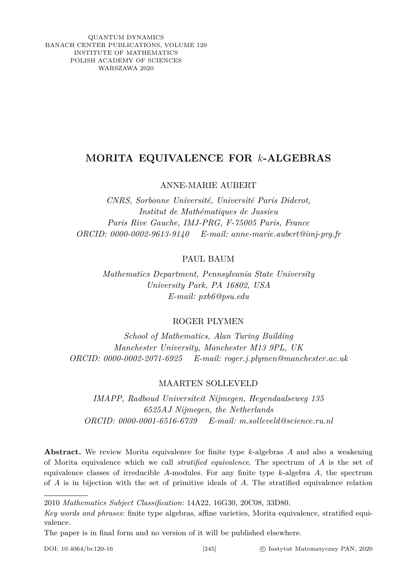QUANTUM DYNAMICS BANACH CENTER PUBLICATIONS, VOLUME 120 INSTITUTE OF MATHEMATICS POLISH ACADEMY OF SCIENCES WARSZAWA 2020

# **MORITA EQUIVALENCE FOR** *k***-ALGEBRAS**

# ANNE-MARIE AUBERT

*CNRS, Sorbonne Université, Université Paris Diderot, Institut de Mathématiques de Jussieu Paris Rive Gauche, IMJ-PRG, F-75005 Paris, France ORCID: 0000-0002-9613-9140 E-mail: anne-marie.aubert@imj-prg.fr*

PAUL BAUM

*Mathematics Department, Pennsylvania State University University Park, PA 16802, USA E-mail: pxb6@psu.edu*

# ROGER PLYMEN

*School of Mathematics, Alan Turing Building Manchester University, Manchester M13 9PL, UK ORCID: 0000-0002-2071-6925 E-mail: roger.j.plymen@manchester.ac.uk*

# MAARTEN SOLLEVELD

*IMAPP, Radboud Universiteit Nijmegen, Heyendaalseweg 135 6525AJ Nijmegen, the Netherlands ORCID: 0000-0001-6516-6739 E-mail: m.solleveld@science.ru.nl*

**Abstract.** We review Morita equivalence for finite type *k*-algebras *A* and also a weakening of Morita equivalence which we call *stratified equivalence*. The spectrum of *A* is the set of equivalence classes of irreducible *A*-modules. For any finite type *k*-algebra *A*, the spectrum of *A* is in bijection with the set of primitive ideals of *A*. The stratified equivalence relation

2010 *Mathematics Subject Classification*: 14A22, 16G30, 20C08, 33D80.

*Key words and phrases*: finite type algebras, affine varieties, Morita equivalence, stratified equivalence.

The paper is in final form and no version of it will be published elsewhere.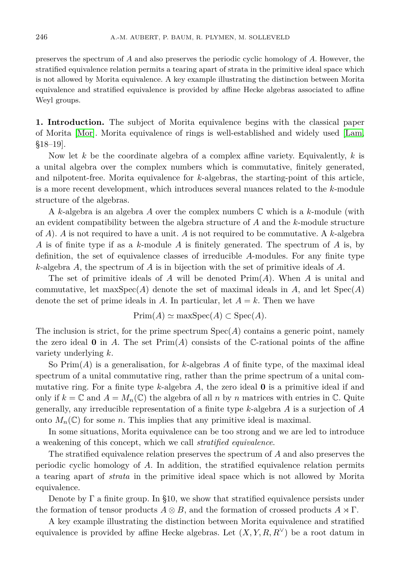preserves the spectrum of *A* and also preserves the periodic cyclic homology of *A*. However, the stratified equivalence relation permits a tearing apart of strata in the primitive ideal space which is not allowed by Morita equivalence. A key example illustrating the distinction between Morita equivalence and stratified equivalence is provided by affine Hecke algebras associated to affine Weyl groups.

**1. Introduction.** The subject of Morita equivalence begins with the classical paper of Morita [\[Mor\]](#page-20-0). Morita equivalence of rings is well-established and widely used [\[Lam,](#page-20-1) §18–19].

Now let *k* be the coordinate algebra of a complex affine variety. Equivalently, *k* is a unital algebra over the complex numbers which is commutative, finitely generated, and nilpotent-free. Morita equivalence for *k*-algebras, the starting-point of this article, is a more recent development, which introduces several nuances related to the *k*-module structure of the algebras.

A *k*-algebra is an algebra *A* over the complex numbers C which is a *k*-module (with an evident compatibility between the algebra structure of *A* and the *k*-module structure of *A*). *A* is not required to have a unit. *A* is not required to be commutative. A *k*-algebra *A* is of finite type if as a *k*-module *A* is finitely generated. The spectrum of *A* is, by definition, the set of equivalence classes of irreducible *A*-modules. For any finite type *k*-algebra *A*, the spectrum of *A* is in bijection with the set of primitive ideals of *A*.

The set of primitive ideals of *A* will be denoted Prim(*A*). When *A* is unital and commutative, let  $\maxSpec(A)$  denote the set of maximal ideals in *A*, and let  $Spec(A)$ denote the set of prime ideals in *A*. In particular, let  $A = k$ . Then we have

$$
Prim(A) \simeq maxSpec(A) \subset Spec(A).
$$

The inclusion is strict, for the prime spectrum  $Spec(A)$  contains a generic point, namely the zero ideal  $\bf{0}$  in *A*. The set  $\text{Prim}(A)$  consists of the C-rational points of the affine variety underlying *k*.

So Prim(*A*) is a generalisation, for *k*-algebras *A* of finite type, of the maximal ideal spectrum of a unital commutative ring, rather than the prime spectrum of a unital commutative ring. For a finite type *k*-algebra *A*, the zero ideal **0** is a primitive ideal if and only if  $k = \mathbb{C}$  and  $A = M_n(\mathbb{C})$  the algebra of all *n* by *n* matrices with entries in  $\mathbb{C}$ . Quite generally, any irreducible representation of a finite type *k*-algebra *A* is a surjection of *A* onto  $M_n(\mathbb{C})$  for some *n*. This implies that any primitive ideal is maximal.

In some situations, Morita equivalence can be too strong and we are led to introduce a weakening of this concept, which we call *stratified equivalence*.

The stratified equivalence relation preserves the spectrum of *A* and also preserves the periodic cyclic homology of *A*. In addition, the stratified equivalence relation permits a tearing apart of *strata* in the primitive ideal space which is not allowed by Morita equivalence.

Denote by  $\Gamma$  a finite group. In §10, we show that stratified equivalence persists under the formation of tensor products  $A \otimes B$ , and the formation of crossed products  $A \rtimes \Gamma$ .

A key example illustrating the distinction between Morita equivalence and stratified equivalence is provided by affine Hecke algebras. Let  $(X, Y, R, R<sup>V</sup>)$  be a root datum in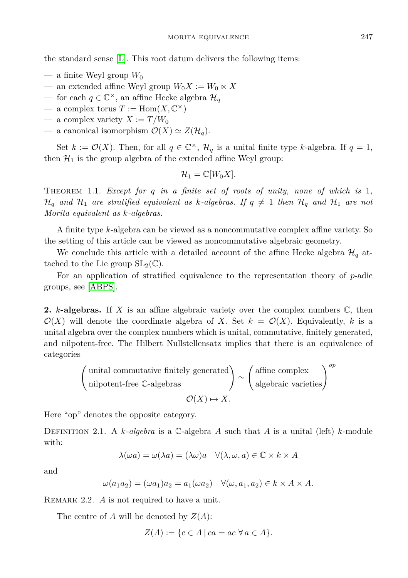the standard sense [\[L\]](#page-20-2). This root datum delivers the following items:

- $-$  a finite Weyl group  $W_0$
- an extended affine Weyl group  $W_0X := W_0 \ltimes X$
- for each *q* ∈  $\mathbb{C}^{\times}$ , an affine Hecke algebra  $\mathcal{H}_q$
- $-$  a complex torus  $T := \text{Hom}(X, \mathbb{C}^{\times})$
- $-$  a complex variety  $X := T/W_0$
- a canonical isomorphism  $\mathcal{O}(X) \simeq Z(\mathcal{H}_q)$ .

Set  $k := \mathcal{O}(X)$ . Then, for all  $q \in \mathbb{C}^{\times}$ ,  $\mathcal{H}_q$  is a unital finite type *k*-algebra. If  $q = 1$ , then  $\mathcal{H}_1$  is the group algebra of the extended affine Weyl group:

$$
\mathcal{H}_1=\mathbb{C}[W_0X].
$$

Theorem 1.1. *Except for q in a finite set of roots of unity, none of which is* 1*,*  $\mathcal{H}_q$  *and*  $\mathcal{H}_1$  *are stratified equivalent as k-algebras. If*  $q \neq 1$  *then*  $\mathcal{H}_q$  *and*  $\mathcal{H}_1$  *are not Morita equivalent as k-algebras.*

A finite type *k*-algebra can be viewed as a noncommutative complex affine variety. So the setting of this article can be viewed as noncommutative algebraic geometry.

We conclude this article with a detailed account of the affine Hecke algebra  $\mathcal{H}_q$  attached to the Lie group  $SL_2(\mathbb{C})$ .

For an application of stratified equivalence to the representation theory of *p*-adic groups, see [\[ABPS\]](#page-20-3).

**2.** *k***-algebras.** If *X* is an affine algebraic variety over the complex numbers C, then  $\mathcal{O}(X)$  will denote the coordinate algebra of *X*. Set  $k = \mathcal{O}(X)$ . Equivalently, *k* is a unital algebra over the complex numbers which is unital, commutative, finitely generated, and nilpotent-free. The Hilbert Nullstellensatz implies that there is an equivalence of categories

$$
\left(\begin{array}{c}\text{unital commutative finitely generated} \\ \text{nilpotent-free C-algebras}\\ \mathcal{O}(X) \mapsto X.\end{array}\right) \sim \left(\begin{array}{c}\text{affine complex} \\ \text{algebraic varieties}\end{array}\right)^{op}
$$

Here "op" denotes the opposite category.

Definition 2.1. A *k-algebra* is a C-algebra *A* such that *A* is a unital (left) *k*-module with:

$$
\lambda(\omega a) = \omega(\lambda a) = (\lambda \omega)a \quad \forall (\lambda, \omega, a) \in \mathbb{C} \times k \times A
$$

and

$$
\omega(a_1 a_2) = (\omega a_1) a_2 = a_1(\omega a_2) \quad \forall (\omega, a_1, a_2) \in k \times A \times A.
$$

REMARK 2.2. *A* is not required to have a unit.

The centre of *A* will be denoted by *Z*(*A*):

$$
Z(A) := \{ c \in A \mid ca = ac \; \forall a \in A \}.
$$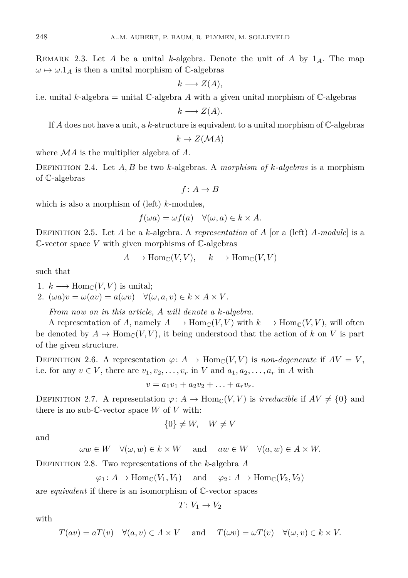REMARK 2.3. Let A be a unital *k*-algebra. Denote the unit of A by  $1_A$ . The map  $\omega \mapsto \omega \cdot 1_A$  is then a unital morphism of C-algebras

 $k \rightarrow Z(A)$ ,

i.e. unital *k*-algebra = unital  $\mathbb{C}$ -algebra *A* with a given unital morphism of  $\mathbb{C}$ -algebras  $k \rightarrow Z(A)$ .

If *A* does not have a unit, a *k*-structure is equivalent to a unital morphism of C-algebras

 $k \rightarrow Z(MA)$ 

where M*A* is the multiplier algebra of *A*.

Definition 2.4. Let *A, B* be two *k*-algebras. A *morphism of k-algebras* is a morphism of C-algebras

$$
f\colon A\to B
$$

which is also a morphism of (left) *k*-modules,

$$
f(\omega a) = \omega f(a) \quad \forall (\omega, a) \in k \times A.
$$

Definition 2.5. Let *A* be a *k*-algebra. A *representation* of *A* [or a (left) *A-module*] is a C-vector space *V* with given morphisms of C-algebras

$$
A \longrightarrow \text{Hom}_{\mathbb{C}}(V, V), \quad k \longrightarrow \text{Hom}_{\mathbb{C}}(V, V)
$$

such that

1.  $k \longrightarrow \text{Hom}_{\mathbb{C}}(V, V)$  is unital;

2.  $(\omega a)v = \omega(av) = a(\omega v) \quad \forall (\omega, a, v) \in k \times A \times V$ .

*From now on in this article, A will denote a k-algebra.*

A representation of *A*, namely  $A \longrightarrow \text{Hom}_{\mathbb{C}}(V, V)$  with  $k \longrightarrow \text{Hom}_{\mathbb{C}}(V, V)$ , will often be denoted by  $A \to \text{Hom}_{\mathbb{C}}(V, V)$ , it being understood that the action of k on V is part of the given structure.

DEFINITION 2.6. A representation  $\varphi: A \to \text{Hom}_{\mathbb{C}}(V, V)$  is *non-degenerate* if  $AV = V$ , i.e. for any  $v \in V$ , there are  $v_1, v_2, \ldots, v_r$  in *V* and  $a_1, a_2, \ldots, a_r$  in *A* with

$$
v = a_1v_1 + a_2v_2 + \ldots + a_rv_r.
$$

DEFINITION 2.7. A representation  $\varphi: A \to \text{Hom}_{\mathbb{C}}(V, V)$  is *irreducible* if  $AV \neq \{0\}$  and there is no sub- $\mathbb C$ -vector space  $W$  of  $V$  with:

$$
\{0\} \neq W, \quad W \neq V
$$

and

$$
\omega w \in W \quad \forall (\omega, w) \in k \times W \quad \text{ and } \quad aw \in W \quad \forall (a, w) \in A \times W.
$$

Definition 2.8. Two representations of the *k*-algebra *A*

$$
\varphi_1: A \to \text{Hom}_{\mathbb{C}}(V_1, V_1) \quad \text{and} \quad \varphi_2: A \to \text{Hom}_{\mathbb{C}}(V_2, V_2)
$$

are *equivalent* if there is an isomorphism of C-vector spaces

$$
T\colon V_1\to V_2
$$

with

$$
T(av) = aT(v) \quad \forall (a, v) \in A \times V \quad \text{and} \quad T(\omega v) = \omega T(v) \quad \forall (\omega, v) \in k \times V.
$$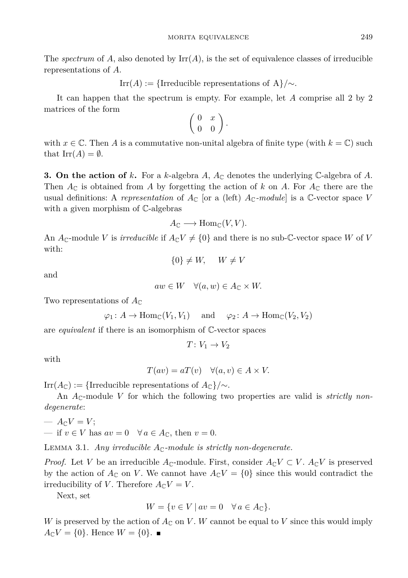The *spectrum* of  $A$ , also denoted by  $\text{Irr}(A)$ , is the set of equivalence classes of irreducible representations of *A*.

Irr(*A*) := {Irreducible representations of A}/ $\sim$ *.* 

It can happen that the spectrum is empty. For example, let *A* comprise all 2 by 2 matrices of the form

 $\left(\begin{array}{cc} 0 & x \\ 0 & 0 \end{array}\right)$ .

with  $x \in \mathbb{C}$ . Then *A* is a commutative non-unital algebra of finite type (with  $k = \mathbb{C}$ ) such that  $\text{Irr}(A) = \emptyset$ .

**3.** On the action of *k*. For a *k*-algebra *A*,  $A_c$  denotes the underlying C-algebra of *A*. Then  $A_{\mathbb{C}}$  is obtained from *A* by forgetting the action of *k* on *A*. For  $A_{\mathbb{C}}$  there are the usual definitions: A *representation* of  $A_{\mathbb{C}}$  [or a (left)  $A_{\mathbb{C}}$ *-module*] is a  $\mathbb{C}$ -vector space *V* with a given morphism of C-algebras

$$
A_{\mathbb{C}} \longrightarrow \text{Hom}_{\mathbb{C}}(V, V).
$$

An  $A_{\mathbb{C}}$ -module *V* is *irreducible* if  $A_{\mathbb{C}}V \neq \{0\}$  and there is no sub-C-vector space *W* of *V* with:

$$
\{0\} \neq W, \quad W \neq V
$$

and

$$
aw \in W \quad \forall (a, w) \in A_{\mathbb{C}} \times W.
$$

Two representations of  $A_{\mathbb{C}}$ 

$$
\varphi_1: A \to \text{Hom}_{\mathbb{C}}(V_1, V_1) \quad \text{and} \quad \varphi_2: A \to \text{Hom}_{\mathbb{C}}(V_2, V_2)
$$

are *equivalent* if there is an isomorphism of C-vector spaces

$$
T\colon V_1\to V_2
$$

with

$$
T(av) = aT(v) \quad \forall (a, v) \in A \times V.
$$

 $\text{Irr}(A_{\mathbb{C}}) := \{\text{Irreducible representations of } A_{\mathbb{C}}\}/\sim.$ 

An  $A_{\mathbb{C}}$ -module V for which the following two properties are valid is *strictly nondegenerate*:

$$
- A_{\mathbb{C}}V = V;
$$
  
 
$$
- if v \in V \text{ has } av = 0 \quad \forall a \in A_{\mathbb{C}}, \text{ then } v = 0.
$$

<span id="page-4-1"></span>LEMMA 3.1. *Any irreducible*  $A_{\mathbb{C}}$ -module is strictly non-degenerate.

*Proof.* Let *V* be an irreducible  $A_{\mathbb{C}}$ -module. First, consider  $A_{\mathbb{C}}V \subset V$ .  $A_{\mathbb{C}}V$  is preserved by the action of  $A_{\mathbb{C}}$  on *V*. We cannot have  $A_{\mathbb{C}}V = \{0\}$  since this would contradict the irreducibility of *V*. Therefore  $A_{\mathbb{C}}V = V$ .

Next, set

$$
W = \{ v \in V \mid av = 0 \quad \forall a \in A_{\mathbb{C}} \}.
$$

<span id="page-4-0"></span>*W* is preserved by the action of  $A_{\mathbb{C}}$  on *V*. *W* cannot be equal to *V* since this would imply  $A_{\mathbb{C}}V = \{0\}$ . Hence  $W = \{0\}$ .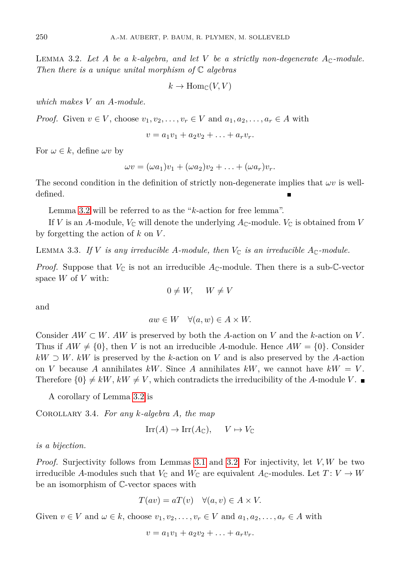LEMMA 3.2. Let A be a k-algebra, and let V be a strictly non-degenerate  $A_{\mathbb{C}}$ -module. *Then there is a unique unital morphism of* C *algebras*

$$
k \to \text{Hom}_{\mathbb{C}}(V, V)
$$

*which makes V an A-module.*

*Proof.* Given  $v \in V$ , choose  $v_1, v_2, \ldots, v_r \in V$  and  $a_1, a_2, \ldots, a_r \in A$  with

$$
v = a_1v_1 + a_2v_2 + \ldots + a_rv_r.
$$

For  $\omega \in k$ , define  $\omega v$  by

$$
\omega v = (\omega a_1)v_1 + (\omega a_2)v_2 + \ldots + (\omega a_r)v_r.
$$

The second condition in the definition of strictly non-degenerate implies that  $\omega v$  is welldefined.

Lemma [3.2](#page-4-0) will be referred to as the "*k*-action for free lemma".

If *V* is an *A*-module,  $V_{\mathbb{C}}$  will denote the underlying  $A_{\mathbb{C}}$ -module.  $V_{\mathbb{C}}$  is obtained from *V* by forgetting the action of *k* on *V* .

<span id="page-5-0"></span>LEMMA 3.3. If *V* is any irreducible A-module, then  $V_{\mathbb{C}}$  is an irreducible  $A_{\mathbb{C}}$ -module.

*Proof.* Suppose that  $V_{\mathbb{C}}$  is not an irreducible  $A_{\mathbb{C}}$ -module. Then there is a sub-C-vector space *W* of *V* with:

$$
0 \neq W, \quad W \neq V
$$

and

$$
aw \in W \quad \forall (a, w) \in A \times W.
$$

Consider  $AW \subset W$ .  $AW$  is preserved by both the *A*-action on *V* and the *k*-action on *V*. Thus if  $AW \neq \{0\}$ , then *V* is not an irreducible *A*-module. Hence  $AW = \{0\}$ . Consider  $kW \supset W$ .  $kW$  is preserved by the *k*-action on *V* and is also preserved by the *A*-action on *V* because *A* annihilates *kW*. Since *A* annihilates *kW*, we cannot have  $kW = V$ . Therefore  $\{0\} \neq kW$ ,  $kW \neq V$ , which contradicts the irreducibility of the *A*-module *V*.

A corollary of Lemma [3.2](#page-4-0) is

<span id="page-5-1"></span>Corollary 3.4. *For any k-algebra A, the map*

$$
\text{Irr}(A) \to \text{Irr}(A_{\mathbb{C}}), \quad V \mapsto V_{\mathbb{C}}
$$

*is a bijection.*

*Proof.* Surjectivity follows from Lemmas [3.1](#page-4-1) and [3.2.](#page-4-0) For injectivity, let *V, W* be two irreducible *A*-modules such that  $V_{\mathbb{C}}$  and  $W_{\mathbb{C}}$  are equivalent  $A_{\mathbb{C}}$ -modules. Let  $T: V \to W$ be an isomorphism of C-vector spaces with

$$
T(av) = aT(v) \quad \forall (a, v) \in A \times V.
$$

Given  $v \in V$  and  $\omega \in k$ , choose  $v_1, v_2, \ldots, v_r \in V$  and  $a_1, a_2, \ldots, a_r \in A$  with

$$
v = a_1v_1 + a_2v_2 + \ldots + a_rv_r.
$$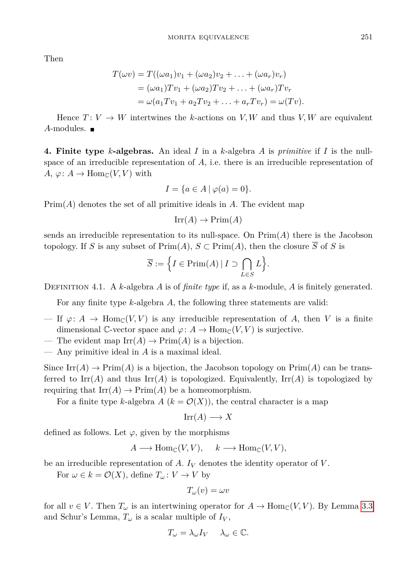Then

$$
T(\omega v) = T((\omega a_1)v_1 + (\omega a_2)v_2 + \dots + (\omega a_r)v_r)
$$
  
= 
$$
(\omega a_1)Tv_1 + (\omega a_2)Tv_2 + \dots + (\omega a_r)Tv_r
$$
  
= 
$$
\omega(a_1Tv_1 + a_2Tv_2 + \dots + a_rTv_r) = \omega(Tv).
$$

Hence  $T: V \to W$  intertwines the *k*-actions on *V, W* and thus *V, W* are equivalent *A*-modules.

**4. Finite type** *k***-algebras.** An ideal *I* in a *k*-algebra *A* is *primitive* if *I* is the nullspace of an irreducible representation of *A*, i.e. there is an irreducible representation of  $A, \varphi: A \to \text{Hom}_{\mathbb{C}}(V, V)$  with

$$
I = \{a \in A \mid \varphi(a) = 0\}.
$$

 $Prim(A)$  denotes the set of all primitive ideals in  $A$ . The evident map

 $Irr(A) \rightarrow Prim(A)$ 

sends an irreducible representation to its null-space. On Prim(*A*) there is the Jacobson topology. If *S* is any subset of  $Prim(A)$ ,  $S \subset Prim(A)$ , then the closure  $\overline{S}$  of *S* is

$$
\overline{S} := \Big\{ I \in \text{Prim}(A) \, | \, I \supset \bigcap_{L \in S} L \Big\}.
$$

Definition 4.1. A *k*-algebra *A* is of *finite type* if, as a *k*-module, *A* is finitely generated.

For any finite type *k*-algebra *A*, the following three statements are valid:

- If  $\varphi: A \to \text{Hom}_{\mathbb{C}}(V, V)$  is any irreducible representation of A, then V is a finite dimensional C-vector space and  $\varphi: A \to \text{Hom}_{\mathbb{C}}(V, V)$  is surjective.
- The evident map  $\mathrm{Irr}(A) \to \mathrm{Prim}(A)$  is a bijection.
- Any primitive ideal in *A* is a maximal ideal.

Since  $\text{Irr}(A) \to \text{Prim}(A)$  is a bijection, the Jacobson topology on  $\text{Prim}(A)$  can be transferred to  $\text{Irr}(A)$  and thus  $\text{Irr}(A)$  is topologized. Equivalently,  $\text{Irr}(A)$  is topologized by requiring that  $\mathrm{Irr}(A) \to \mathrm{Prim}(A)$  be a homeomorphism.

For a finite type *k*-algebra  $A(k = \mathcal{O}(X))$ , the central character is a map

$$
Irr(A) \longrightarrow X
$$

defined as follows. Let  $\varphi$ , given by the morphisms

$$
A \longrightarrow \operatorname{Hom}_{\mathbb{C}}(V, V), \quad k \longrightarrow \operatorname{Hom}_{\mathbb{C}}(V, V),
$$

be an irreducible representation of *A*. *I<sup>V</sup>* denotes the identity operator of *V* .

For  $\omega \in k = \mathcal{O}(X)$ , define  $T_{\omega}: V \to V$  by

$$
T_{\omega}(v) = \omega v
$$

for all  $v \in V$ . Then  $T_{\omega}$  is an intertwining operator for  $A \to \text{Hom}_{\mathbb{C}}(V, V)$ . By Lemma [3.3](#page-5-0) and Schur's Lemma,  $T_{\omega}$  is a scalar multiple of  $I_V$ ,

$$
T_{\omega} = \lambda_{\omega} I_V \quad \lambda_{\omega} \in \mathbb{C}.
$$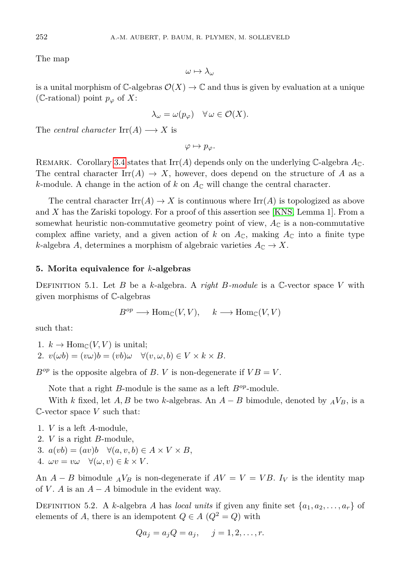The map

$$
\omega\mapsto \lambda_\omega
$$

is a unital morphism of  $\mathbb{C}\text{-algebras }\mathcal{O}(X) \to \mathbb{C}$  and thus is given by evaluation at a unique (C-rational) point  $p_{\varphi}$  of X:

$$
\lambda_{\omega} = \omega(p_{\varphi}) \quad \forall \, \omega \in \mathcal{O}(X).
$$

The *central character*  $\text{Irr}(A) \longrightarrow X$  is

 $\varphi \mapsto p_{\varphi}$ .

REMARK. Corollary [3.4](#page-5-1) states that  $\text{Irr}(A)$  depends only on the underlying C-algebra  $A_{\mathbb{C}}$ . The central character Irr( $A$ )  $\rightarrow$  *X*, however, does depend on the structure of *A* as a *k*-module. A change in the action of  $k$  on  $A_{\mathbb{C}}$  will change the central character.

The central character  $\text{Irr}(A) \to X$  is continuous where  $\text{Irr}(A)$  is topologized as above and *X* has the Zariski topology. For a proof of this assertion see [\[KNS,](#page-20-4) Lemma 1]. From a somewhat heuristic non-commutative geometry point of view,  $A_{\mathbb{C}}$  is a non-commutative complex affine variety, and a given action of k on  $A_{\mathbb{C}}$ , making  $A_{\mathbb{C}}$  into a finite type *k*-algebra *A*, determines a morphism of algebraic varieties  $A_{\mathbb{C}} \to X$ .

## **5. Morita equivalence for** *k***-algebras**

Definition 5.1. Let *B* be a *k*-algebra. A *right B-module* is a C-vector space *V* with given morphisms of C-algebras

$$
B^{op} \longrightarrow \text{Hom}_{\mathbb{C}}(V, V), \quad k \longrightarrow \text{Hom}_{\mathbb{C}}(V, V)
$$

such that:

1.  $k \to \text{Hom}_{\mathbb{C}}(V, V)$  is unital; 2.  $v(\omega b) = (v\omega)b = (vb)\omega \quad \forall (v, \omega, b) \in V \times k \times B.$ 

 $B^{op}$  is the opposite algebra of *B*. *V* is non-degenerate if  $VB = V$ .

Note that a right *B*-module is the same as a left *Bop*-module.

With *k* fixed, let *A*, *B* be two *k*-algebras. An  $A - B$  bimodule, denoted by  $_A V_B$ , is a C-vector space *V* such that:

1. *V* is a left *A*-module,

- 2. *V* is a right *B*-module,
- 3.  $a(vb) = (av)b \quad \forall (a, v, b) \in A \times V \times B$ ,
- 4.  $\omega v = v\omega \quad \forall (\omega, v) \in k \times V$ .

An  $A - B$  bimodule  ${}_A V_B$  is non-degenerate if  $AV = V = VB$ .  $I_V$  is the identity map of *V*. *A* is an  $A - A$  bimodule in the evident way.

DEFINITION 5.2. A *k*-algebra *A* has *local units* if given any finite set  $\{a_1, a_2, \ldots, a_r\}$  of elements of *A*, there is an idempotent  $Q \in A$  ( $Q^2 = Q$ ) with

$$
Qa_j = a_j Q = a_j, \quad j = 1, 2, \dots, r.
$$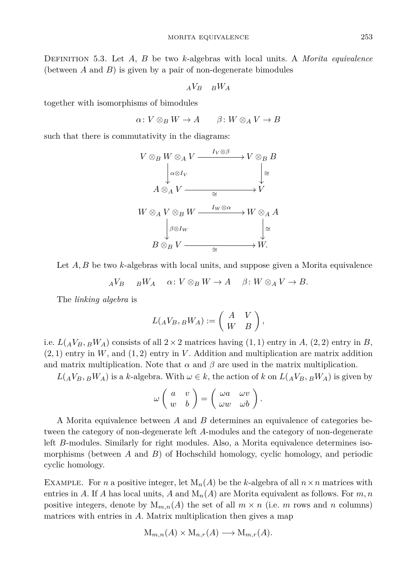Definition 5.3. Let *A*, *B* be two *k*-algebras with local units. A *Morita equivalence* (between *A* and *B*) is given by a pair of non-degenerate bimodules

$$
_AV_B - _BW_A
$$

together with isomorphisms of bimodules

 $\alpha: V \otimes_B W \to A$   $\beta: W \otimes_A V \to B$ 

such that there is commutativity in the diagrams:



Let *A, B* be two *k*-algebras with local units, and suppose given a Morita equivalence

$$
{}_AV_B \qquad {}_BW_A \qquad \alpha \colon V \otimes_B W \to A \qquad \beta \colon W \otimes_A V \to B.
$$

The *linking algebra* is

$$
L(_AV_B, {}_BW_A) := \left(\begin{array}{cc} A & V \\ W & B \end{array}\right),
$$

i.e.  $L(AV_B, BW_A)$  consists of all  $2 \times 2$  matrices having  $(1, 1)$  entry in *A*,  $(2, 2)$  entry in *B*, (2*,* 1) entry in *W*, and (1*,* 2) entry in *V* . Addition and multiplication are matrix addition and matrix multiplication. Note that  $\alpha$  and  $\beta$  are used in the matrix multiplication.

 $L(AV_B, BW_A)$  is a *k*-algebra. With  $\omega \in k$ , the action of *k* on  $L(AV_B, BW_A)$  is given by

$$
\omega \left( \begin{array}{cc} a & v \\ w & b \end{array} \right) = \left( \begin{array}{cc} \omega a & \omega v \\ \omega w & \omega b \end{array} \right).
$$

A Morita equivalence between *A* and *B* determines an equivalence of categories between the category of non-degenerate left *A*-modules and the category of non-degenerate left *B*-modules. Similarly for right modules. Also, a Morita equivalence determines isomorphisms (between *A* and *B*) of Hochschild homology, cyclic homology, and periodic cyclic homology.

EXAMPLE. For *n* a positive integer, let  $M_n(A)$  be the *k*-algebra of all  $n \times n$  matrices with entries in *A*. If *A* has local units, *A* and  $M_n(A)$  are Morita equivalent as follows. For *m*, *n* positive integers, denote by  $M_{m,n}(A)$  the set of all  $m \times n$  (i.e. m rows and n columns) matrices with entries in *A*. Matrix multiplication then gives a map

$$
M_{m,n}(A) \times M_{n,r}(A) \longrightarrow M_{m,r}(A).
$$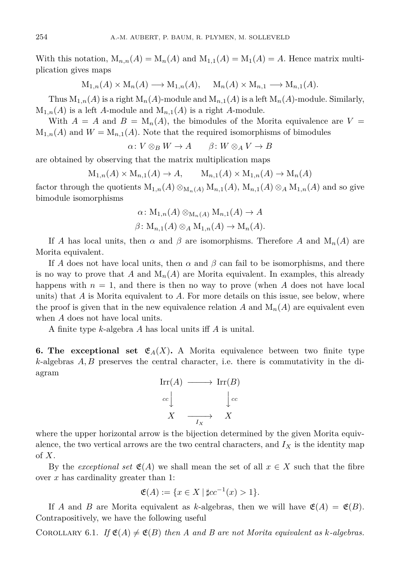With this notation,  $M_{n,n}(A) = M_n(A)$  and  $M_{1,1}(A) = M_1(A) = A$ . Hence matrix multiplication gives maps

$$
M_{1,n}(A) \times M_n(A) \longrightarrow M_{1,n}(A), \quad M_n(A) \times M_{n,1} \longrightarrow M_{n,1}(A).
$$

Thus  $M_{1,n}(A)$  is a right  $M_n(A)$ -module and  $M_{n,1}(A)$  is a left  $M_n(A)$ -module. Similarly,  $M_{1,n}(A)$  is a left *A*-module and  $M_{n,1}(A)$  is a right *A*-module.

With  $A = A$  and  $B = M_n(A)$ , the bimodules of the Morita equivalence are  $V =$  $M_{1,n}(A)$  and  $W = M_{n,1}(A)$ . Note that the required isomorphisms of bimodules

$$
\alpha\colon V\otimes_B W\to A\qquad \beta\colon W\otimes_A V\to B
$$

are obtained by observing that the matrix multiplication maps

$$
M_{1,n}(A) \times M_{n,1}(A) \to A, \qquad M_{n,1}(A) \times M_{1,n}(A) \to M_n(A)
$$

factor through the quotients  $M_{1,n}(A) \otimes_{M_n(A)} M_{n,1}(A)$ ,  $M_{n,1}(A) \otimes_A M_{1,n}(A)$  and so give bimodule isomorphisms

$$
\alpha \colon M_{1,n}(A) \otimes_{M_n(A)} M_{n,1}(A) \to A
$$
  

$$
\beta \colon M_{n,1}(A) \otimes_A M_{1,n}(A) \to M_n(A).
$$

If *A* has local units, then  $\alpha$  and  $\beta$  are isomorphisms. Therefore *A* and  $M_n(A)$  are Morita equivalent.

If *A* does not have local units, then  $\alpha$  and  $\beta$  can fail to be isomorphisms, and there is no way to prove that *A* and  $M_n(A)$  are Morita equivalent. In examples, this already happens with  $n = 1$ , and there is then no way to prove (when *A* does not have local units) that *A* is Morita equivalent to *A*. For more details on this issue, see below, where the proof is given that in the new equivalence relation  $A$  and  $M_n(A)$  are equivalent even when *A* does not have local units.

A finite type *k*-algebra *A* has local units iff *A* is unital.

**6. The exceptional set**  $\mathfrak{E}_A(X)$ **. A** Morita equivalence between two finite type *k*-algebras *A, B* preserves the central character, i.e. there is commutativity in the diagram



where the upper horizontal arrow is the bijection determined by the given Morita equivalence, the two vertical arrows are the two central characters, and  $I_X$  is the identity map of *X*.

By the *exceptional set*  $\mathfrak{E}(A)$  we shall mean the set of all  $x \in X$  such that the fibre over *x* has cardinality greater than 1:

$$
\mathfrak{E}(A) := \{ x \in X \mid \sharp cc^{-1}(x) > 1 \}.
$$

If *A* and *B* are Morita equivalent as *k*-algebras, then we will have  $\mathfrak{E}(A) = \mathfrak{E}(B)$ . Contrapositively, we have the following useful

COROLLARY 6.1. If  $\mathfrak{E}(A) \neq \mathfrak{E}(B)$  then A and B are not Morita equivalent as *k*-algebras.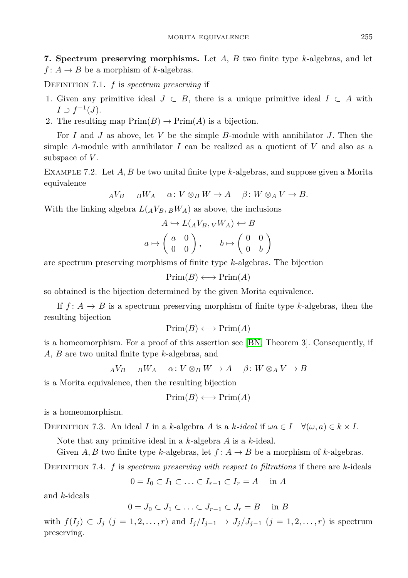**7. Spectrum preserving morphisms.** Let *A*, *B* two finite type *k*-algebras, and let  $f: A \rightarrow B$  be a morphism of *k*-algebras.

Definition 7.1. *f* is *spectrum preserving* if

- 1. Given any primitive ideal  $J \subset B$ , there is a unique primitive ideal  $I \subset A$  with  $I \supset f^{-1}(J)$ .
- 2. The resulting map  $Prim(B) \to Prim(A)$  is a bijection.

For *I* and *J* as above, let *V* be the simple *B*-module with annihilator *J*. Then the simple *A*-module with annihilator *I* can be realized as a quotient of *V* and also as a subspace of *V* .

Example 7.2. Let *A, B* be two unital finite type *k*-algebras, and suppose given a Morita equivalence

$$
{}_AV_B \qquad {}_BW_A \qquad \alpha \colon V \otimes_B W \to A \qquad \beta \colon W \otimes_A V \to B.
$$

With the linking algebra  $L(AV_B, BW_A)$  as above, the inclusions

$$
A \hookrightarrow L(AV_B, VW_A) \hookleftarrow B
$$
  

$$
a \mapsto \begin{pmatrix} a & 0 \\ 0 & 0 \end{pmatrix}, \qquad b \mapsto \begin{pmatrix} 0 & 0 \\ 0 & b \end{pmatrix}
$$

are spectrum preserving morphisms of finite type *k*-algebras. The bijection

$$
\text{Prim}(B) \longleftrightarrow \text{Prim}(A)
$$

so obtained is the bijection determined by the given Morita equivalence.

If  $f: A \rightarrow B$  is a spectrum preserving morphism of finite type *k*-algebras, then the resulting bijection

$$
\text{Prim}(B) \longleftrightarrow \text{Prim}(A)
$$

is a homeomorphism. For a proof of this assertion see [\[BN,](#page-20-5) Theorem 3]. Consequently, if *A*, *B* are two unital finite type *k*-algebras, and

$$
{}_AV_B \qquad {}_BW_A \qquad \alpha \colon V \otimes_B W \to A \qquad \beta \colon W \otimes_A V \to B
$$

is a Morita equivalence, then the resulting bijection

$$
\text{Prim}(B) \longleftrightarrow \text{Prim}(A)
$$

is a homeomorphism.

DEFINITION 7.3. An ideal *I* in a *k*-algebra *A* is a *k*-ideal if  $\omega a \in I$   $\forall (\omega, a) \in k \times I$ .

Note that any primitive ideal in a *k*-algebra *A* is a *k*-ideal.

Given *A, B* two finite type *k*-algebras, let  $f: A \rightarrow B$  be a morphism of *k*-algebras.

Definition 7.4. *f* is *spectrum preserving with respect to filtrations* if there are *k*-ideals

$$
0 = I_0 \subset I_1 \subset \ldots \subset I_{r-1} \subset I_r = A \quad \text{in } A
$$

and *k*-ideals

$$
0 = J_0 \subset J_1 \subset \ldots \subset J_{r-1} \subset J_r = B \quad \text{in } B
$$

with  $f(I_j) \subset J_j$   $(j = 1, 2, ..., r)$  and  $I_j/I_{j-1} \to J_j/J_{j-1}$   $(j = 1, 2, ..., r)$  is spectrum preserving.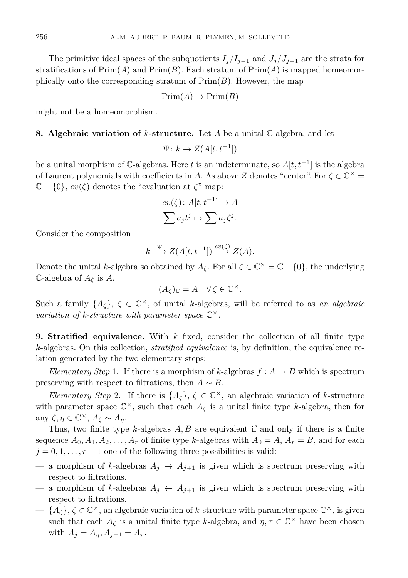The primitive ideal spaces of the subquotients  $I_j/I_{j-1}$  and  $J_j/J_{j-1}$  are the strata for stratifications of  $\text{Prim}(A)$  and  $\text{Prim}(B)$ . Each stratum of  $\text{Prim}(A)$  is mapped homeomorphically onto the corresponding stratum of  $Prim(B)$ . However, the map

$$
\mathrm{Prim}(A) \to \mathrm{Prim}(B)
$$

might not be a homeomorphism.

## **8. Algebraic variation of** *k***-structure.** Let *A* be a unital C-algebra, and let

$$
\Psi \colon k \to Z(A[t, t^{-1}])
$$

be a unital morphism of C-algebras. Here *t* is an indeterminate, so *A*[*t, t*<sup>−</sup><sup>1</sup> ] is the algebra of Laurent polynomials with coefficients in *A*. As above *Z* denotes "center". For  $\zeta \in \mathbb{C}^{\times}$  $\mathbb{C} - \{0\}$ ,  $ev(\zeta)$  denotes the "evaluation at  $\zeta$ " map:

$$
ev(\zeta): A[t, t^{-1}] \to A
$$

$$
\sum a_j t^j \mapsto \sum a_j \zeta^j.
$$

Consider the composition

$$
k \xrightarrow{\Psi} Z(A[t, t^{-1}]) \xrightarrow{ev(\zeta)} Z(A).
$$

Denote the unital *k*-algebra so obtained by  $A_{\zeta}$ . For all  $\zeta \in \mathbb{C}^{\times} = \mathbb{C} - \{0\}$ , the underlying C-algebra of *A<sup>ζ</sup>* is *A*.

$$
(A_{\zeta})_{\mathbb{C}} = A \quad \forall \zeta \in \mathbb{C}^{\times}.
$$

Such a family  $\{A_\zeta\}, \zeta \in \mathbb{C}^\times$ , of unital *k*-algebras, will be referred to as *an algebraic* variation of k-structure with parameter space  $\mathbb{C}^{\times}$ .

**9. Stratified equivalence.** With *k* fixed, consider the collection of all finite type *k*-algebras. On this collection, *stratified equivalence* is, by definition, the equivalence relation generated by the two elementary steps:

*Elementary Step* 1. If there is a morphism of *k*-algebras  $f : A \rightarrow B$  which is spectrum preserving with respect to filtrations, then  $A \sim B$ .

*Elementary Step* 2. If there is  $\{A_\zeta\}, \zeta \in \mathbb{C}^\times$ , an algebraic variation of *k*-structure with parameter space  $\mathbb{C}^{\times}$ , such that each  $A_{\zeta}$  is a unital finite type *k*-algebra, then for any  $\zeta, \eta \in \mathbb{C}^{\times}, A_{\zeta} \sim A_{\eta}$ .

Thus, two finite type *k*-algebras *A, B* are equivalent if and only if there is a finite sequence  $A_0, A_1, A_2, \ldots, A_r$  of finite type *k*-algebras with  $A_0 = A, A_r = B$ , and for each  $j = 0, 1, \ldots, r - 1$  one of the following three possibilities is valid:

- a morphism of *k*-algebras  $A_j \rightarrow A_{j+1}$  is given which is spectrum preserving with respect to filtrations.
- a morphism of *k*-algebras  $A_j \leftarrow A_{j+1}$  is given which is spectrum preserving with respect to filtrations.
- $-$  { $A_\zeta$ },  $\zeta \in \mathbb{C}^\times$ , an algebraic variation of *k*-structure with parameter space  $\mathbb{C}^\times$ , is given such that each  $A_{\zeta}$  is a unital finite type *k*-algebra, and  $\eta, \tau \in \mathbb{C}^{\times}$  have been chosen with  $A_j = A_{n_j}, A_{j+1} = A_{\tau}$ .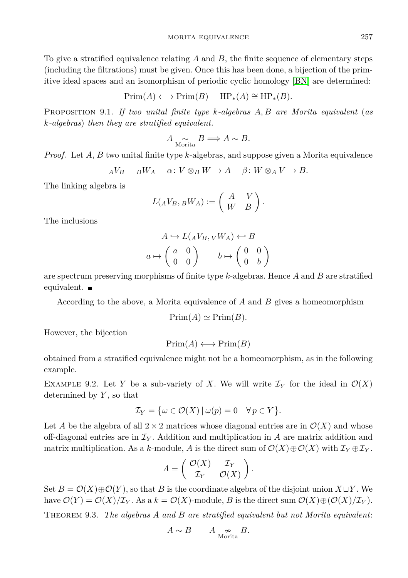MORITA EQUIVALENCE 257

To give a stratified equivalence relating *A* and *B*, the finite sequence of elementary steps (including the filtrations) must be given. Once this has been done, a bijection of the primitive ideal spaces and an isomorphism of periodic cyclic homology [\[BN\]](#page-20-5) are determined:

$$
Prim(A) \longleftrightarrow Prim(B) \quad HP_*(A) \cong HP_*(B).
$$

Proposition 9.1. *If two unital finite type k-algebras A, B are Morita equivalent* (*as k-algebras*) *then they are stratified equivalent.*

$$
A \underset{\text{Morita}}{\sim} B \Longrightarrow A \sim B.
$$

*Proof.* Let *A*, *B* two unital finite type *k*-algebras, and suppose given a Morita equivalence

$$
{}_AV_B \qquad {}_BW_A \qquad \alpha \colon V \otimes_B W \to A \qquad \beta \colon W \otimes_A V \to B.
$$

The linking algebra is

$$
L(AV_B, {}_B W_A) := \begin{pmatrix} A & V \\ W & B \end{pmatrix}.
$$

The inclusions

$$
A \hookrightarrow L(AV_B, VW_A) \hookleftarrow B
$$
  

$$
a \mapsto \begin{pmatrix} a & 0 \\ 0 & 0 \end{pmatrix} \qquad b \mapsto \begin{pmatrix} 0 & 0 \\ 0 & b \end{pmatrix}
$$

are spectrum preserving morphisms of finite type *k*-algebras. Hence *A* and *B* are stratified equivalent. ■

According to the above, a Morita equivalence of *A* and *B* gives a homeomorphism

$$
Prim(A) \simeq Prim(B).
$$

However, the bijection

$$
\mathrm{Prim}(A) \longleftrightarrow \mathrm{Prim}(B)
$$

obtained from a stratified equivalence might not be a homeomorphism, as in the following example.

EXAMPLE 9.2. Let *Y* be a sub-variety of *X*. We will write  $\mathcal{I}_Y$  for the ideal in  $\mathcal{O}(X)$ determined by *Y* , so that

$$
\mathcal{I}_Y = \{ \omega \in \mathcal{O}(X) \, | \, \omega(p) = 0 \quad \forall \, p \in Y \}.
$$

Let *A* be the algebra of all  $2 \times 2$  matrices whose diagonal entries are in  $\mathcal{O}(X)$  and whose off-diagonal entries are in  $\mathcal{I}_Y$ . Addition and multiplication in A are matrix addition and matrix multiplication. As a *k*-module, *A* is the direct sum of  $\mathcal{O}(X) \oplus \mathcal{O}(X)$  with  $\mathcal{I}_Y \oplus \mathcal{I}_Y$ .

$$
A = \begin{pmatrix} \mathcal{O}(X) & \mathcal{I}_Y \\ \mathcal{I}_Y & \mathcal{O}(X) \end{pmatrix}.
$$

Set  $B = \mathcal{O}(X) \oplus \mathcal{O}(Y)$ , so that *B* is the coordinate algebra of the disjoint union  $X \sqcup Y$ . We have  $\mathcal{O}(Y) = \mathcal{O}(X)/\mathcal{I}_Y$ . As a  $k = \mathcal{O}(X)$ -module, *B* is the direct sum  $\mathcal{O}(X) \oplus (\mathcal{O}(X)/\mathcal{I}_Y)$ .

Theorem 9.3. *The algebras A and B are stratified equivalent but not Morita equivalent*:

$$
A \sim B \qquad A \underset{\text{Morita}}{\sim} B.
$$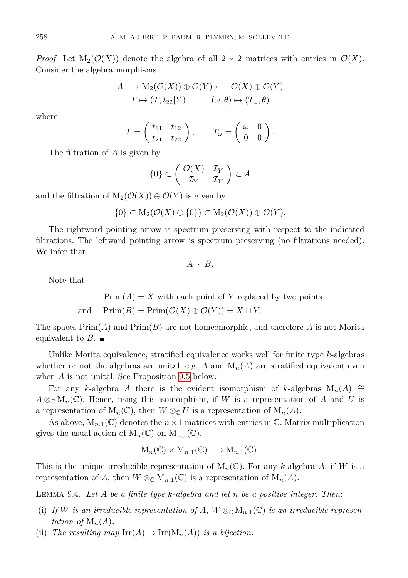*Proof.* Let  $M_2(\mathcal{O}(X))$  denote the algebra of all  $2 \times 2$  matrices with entries in  $\mathcal{O}(X)$ . Consider the algebra morphisms

$$
A \longrightarrow M_2(\mathcal{O}(X)) \oplus \mathcal{O}(Y) \longleftarrow \mathcal{O}(X) \oplus \mathcal{O}(Y)
$$
  

$$
T \mapsto (T, t_{22}|Y) \qquad (\omega, \theta) \mapsto (T_{\omega}, \theta)
$$

where

$$
T = \begin{pmatrix} t_{11} & t_{12} \\ t_{21} & t_{22} \end{pmatrix}, \qquad T_{\omega} = \begin{pmatrix} \omega & 0 \\ 0 & 0 \end{pmatrix}.
$$

The filtration of *A* is given by

$$
\{0\} \subset \left(\begin{array}{cc} \mathcal{O}(X) & \mathcal{I}_Y \\ \mathcal{I}_Y & \mathcal{I}_Y \end{array}\right) \subset A
$$

and the filtration of  $M_2(\mathcal{O}(X)) \oplus \mathcal{O}(Y)$  is given by

$$
\{0\} \subset M_2(\mathcal{O}(X) \oplus \{0\}) \subset M_2(\mathcal{O}(X)) \oplus \mathcal{O}(Y).
$$

The rightward pointing arrow is spectrum preserving with respect to the indicated filtrations. The leftward pointing arrow is spectrum preserving (no filtrations needed). We infer that

$$
A \sim B.
$$

Note that

 $Prim(A) = X$  with each point of *Y* replaced by two points and  $\text{Prim}(B) = \text{Prim}(\mathcal{O}(X) \oplus \mathcal{O}(Y)) = X \sqcup Y.$ 

The spaces Prim(*A*) and Prim(*B*) are not homeomorphic, and therefore *A* is not Morita equivalent to  $B$ .

Unlike Morita equivalence, stratified equivalence works well for finite type *k*-algebras whether or not the algebras are unital, e.g.  $A$  and  $M_n(A)$  are stratified equivalent even when *A* is not unital. See Proposition [9.5](#page-14-0) below.

For any *k*-algebra *A* there is the evident isomorphism of *k*-algebras  $M_n(A) \cong$  $A \otimes_{\mathbb{C}} M_n(\mathbb{C})$ . Hence, using this isomorphism, if *W* is a representation of *A* and *U* is a representation of  $M_n(\mathbb{C})$ , then  $W \otimes_{\mathbb{C}} U$  is a representation of  $M_n(A)$ .

As above,  $M_{n,1}(\mathbb{C})$  denotes the  $n \times 1$  matrices with entries in  $\mathbb{C}$ . Matrix multiplication gives the usual action of  $M_n(\mathbb{C})$  on  $M_{n,1}(\mathbb{C})$ .

$$
M_n(\mathbb{C}) \times M_{n,1}(\mathbb{C}) \longrightarrow M_{n,1}(\mathbb{C}).
$$

This is the unique irreducible representation of  $M_n(\mathbb{C})$ . For any *k*-algebra *A*, if *W* is a representation of *A*, then  $W \otimes_{\mathbb{C}} M_{n,1}(\mathbb{C})$  is a representation of  $M_n(A)$ .

Lemma 9.4. *Let A be a finite type k-algebra and let n be a positive integer. Then*:

- (i) If *W* is an irreducible representation of A,  $W \otimes_{\mathbb{C}} M_{n,1}(\mathbb{C})$  is an irreducible represen*tation of*  $M_n(A)$ .
- (ii) *The resulting map*  $\mathrm{Irr}(A) \to \mathrm{Irr}(\mathrm{M}_n(A))$  *is a bijection.*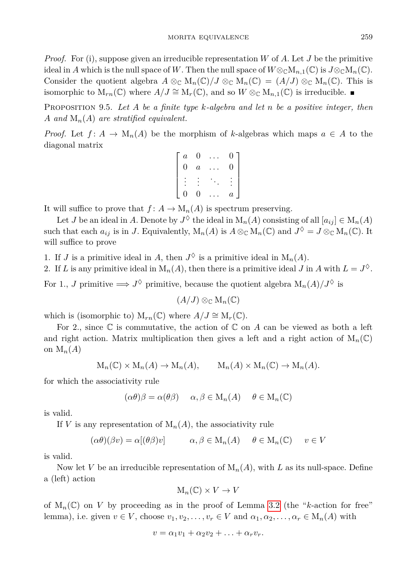*Proof.* For (i), suppose given an irreducible representation *W* of *A*. Let *J* be the primitive ideal in *A* which is the null space of *W*. Then the null space of  $W \otimes_{\mathbb{C}} M_{n,1}(\mathbb{C})$  is  $J \otimes_{\mathbb{C}} M_n(\mathbb{C})$ . Consider the quotient algebra  $A \otimes_{\mathbb{C}} M_n(\mathbb{C})/J \otimes_{\mathbb{C}} M_n(\mathbb{C}) = (A/J) \otimes_{\mathbb{C}} M_n(\mathbb{C})$ . This is isomorphic to  $M_{rn}(\mathbb{C})$  where  $A/J \cong M_r(\mathbb{C})$ , and so  $W \otimes_{\mathbb{C}} M_{n,1}(\mathbb{C})$  is irreducible. ■

<span id="page-14-0"></span>Proposition 9.5. *Let A be a finite type k-algebra and let n be a positive integer, then A and* M*n*(*A*) *are stratified equivalent.*

*Proof.* Let  $f: A \to M_n(A)$  be the morphism of *k*-algebras which maps  $a \in A$  to the diagonal matrix

| $\overline{a}$ | 0                | O.             |
|----------------|------------------|----------------|
| 0              | $\boldsymbol{a}$ | 0              |
|                |                  |                |
|                |                  |                |
| 0              | 0                | $\overline{a}$ |

It will suffice to prove that  $f: A \to M_n(A)$  is spectrum preserving.

Let *J* be an ideal in *A*. Denote by  $J^{\Diamond}$  the ideal in  $M_n(A)$  consisting of all  $[a_{ij}] \in M_n(A)$ such that each  $a_{ij}$  is in *J*. Equivalently,  $M_n(A)$  is  $A \otimes_{\mathbb{C}} M_n(\mathbb{C})$  and  $J^{\lozenge} = J \otimes_{\mathbb{C}} M_n(\mathbb{C})$ . It will suffice to prove

1. If *J* is a primitive ideal in *A*, then  $J^{\lozenge}$  is a primitive ideal in  $M_n(A)$ .

2. If *L* is any primitive ideal in  $M_n(A)$ , then there is a primitive ideal *J* in *A* with  $L = J^{\diamond}$ .

For 1., *J* primitive  $\implies J^{\lozenge}$  primitive, because the quotient algebra  $M_n(A)/J^{\lozenge}$  is

 $(A/J) \otimes_{\mathbb{C}} M_n(\mathbb{C})$ 

which is (isomorphic to)  $M_{rn}(\mathbb{C})$  where  $A/J \cong M_r(\mathbb{C})$ .

For 2., since  $\mathbb C$  is commutative, the action of  $\mathbb C$  on  $A$  can be viewed as both a left and right action. Matrix multiplication then gives a left and a right action of  $M_n(\mathbb{C})$ on  $M_n(A)$ 

$$
M_n(\mathbb{C}) \times M_n(A) \to M_n(A), \qquad M_n(A) \times M_n(\mathbb{C}) \to M_n(A).
$$

for which the associativity rule

$$
(\alpha \theta)\beta = \alpha(\theta \beta) \quad \alpha, \beta \in M_n(A) \quad \theta \in M_n(\mathbb{C})
$$

is valid.

If *V* is any representation of  $M_n(A)$ , the associativity rule

$$
(\alpha \theta)(\beta v) = \alpha[(\theta \beta)v] \qquad \alpha, \beta \in M_n(A) \quad \theta \in M_n(\mathbb{C}) \quad v \in V
$$

is valid.

Now let *V* be an irreducible representation of  $M_n(A)$ , with *L* as its null-space. Define a (left) action

$$
\mathrm{M}_n(\mathbb{C}) \times V \to V
$$

of  $M_n(\mathbb{C})$  on *V* by proceeding as in the proof of Lemma [3.2](#page-4-0) (the "*k*-action for free" lemma), i.e. given  $v \in V$ , choose  $v_1, v_2, \ldots, v_r \in V$  and  $\alpha_1, \alpha_2, \ldots, \alpha_r \in M_n(A)$  with

$$
v = \alpha_1 v_1 + \alpha_2 v_2 + \ldots + \alpha_r v_r.
$$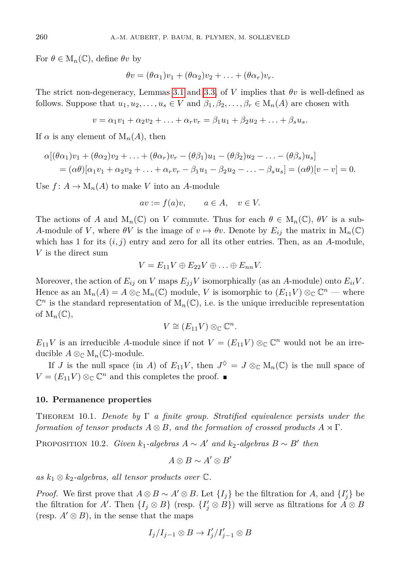For  $\theta \in M_n(\mathbb{C})$ , define  $\theta v$  by

$$
\theta v = (\theta \alpha_1) v_1 + (\theta \alpha_2) v_2 + \ldots + (\theta \alpha_r) v_r.
$$

The strict non-degeneracy, Lemmas [3.1](#page-4-1) and [3.3,](#page-5-0) of *V* implies that *θv* is well-defined as follows. Suppose that  $u_1, u_2, \ldots, u_s \in V$  and  $\beta_1, \beta_2, \ldots, \beta_r \in M_n(A)$  are chosen with

$$
v = \alpha_1 v_1 + \alpha_2 v_2 + \ldots + \alpha_r v_r = \beta_1 u_1 + \beta_2 u_2 + \ldots + \beta_s u_s.
$$

If  $\alpha$  is any element of  $M_n(A)$ , then

$$
\alpha[(\theta\alpha_1)v_1 + (\theta\alpha_2)v_2 + \ldots + (\theta\alpha_r)v_r - (\theta\beta_1)u_1 - (\theta\beta_2)u_2 - \ldots - (\theta\beta_s)u_s]
$$
  
= 
$$
(\alpha\theta)[\alpha_1v_1 + \alpha_2v_2 + \ldots + \alpha_rv_r - \beta_1u_1 - \beta_2u_2 - \ldots - \beta_su_s] = (\alpha\theta)[v - v] = 0.
$$

Use  $f: A \to M_n(A)$  to make *V* into an *A*-module

$$
av := f(a)v, \qquad a \in A, \quad v \in V.
$$

The actions of *A* and  $M_n(\mathbb{C})$  on *V* commute. Thus for each  $\theta \in M_n(\mathbb{C})$ ,  $\theta V$  is a sub-*A*-module of *V*, where  $\theta V$  is the image of  $v \mapsto \theta v$ . Denote by  $E_{ij}$  the matrix in  $M_n(\mathbb{C})$ which has 1 for its  $(i, j)$  entry and zero for all its other entries. Then, as an *A*-module, *V* is the direct sum

$$
V=E_{11}V\oplus E_{22}V\oplus\ldots\oplus E_{nn}V.
$$

Moreover, the action of  $E_{ij}$  on *V* maps  $E_{ij}$ *V* isomorphically (as an *A*-module) onto  $E_{ii}V$ . Hence as an  $M_n(A) = A \otimes_{\mathbb{C}} M_n(\mathbb{C})$  module, *V* is isomorphic to  $(E_{11}V) \otimes_{\mathbb{C}} \mathbb{C}^n$  — where  $\mathbb{C}^n$  is the standard representation of  $M_n(\mathbb{C})$ , i.e. is the unique irreducible representation of  $M_n(\mathbb{C}),$ 

$$
V \cong (E_{11}V) \otimes_{\mathbb{C}} \mathbb{C}^n.
$$

 $E_{11}V$  is an irreducible *A*-module since if not  $V = (E_{11}V) \otimes_{\mathbb{C}} \mathbb{C}^n$  would not be an irreducible  $A \otimes_{\mathbb{C}} M_n(\mathbb{C})$ -module.

If *J* is the null space (in *A*) of  $E_{11}V$ , then  $J^{\lozenge} = J \otimes_{\mathbb{C}} M_n(\mathbb{C})$  is the null space of  $V = (E_{11}V) \otimes_{\mathbb{C}} \mathbb{C}^n$  and this completes the proof.

#### **10. Permanence properties**

Theorem 10.1. *Denote by* Γ *a finite group. Stratified equivalence persists under the formation of tensor products*  $A \otimes B$ *, and the formation of crossed products*  $A \rtimes \Gamma$ *.* 

PROPOSITION 10.2. *Given*  $k_1$ -algebras  $A \sim A'$  and  $k_2$ -algebras  $B \sim B'$  then

$$
A\otimes B\sim A'\otimes B'
$$

*as k*<sup>1</sup> ⊗ *k*2*-algebras, all tensor products over* C*.*

*Proof.* We first prove that  $A \otimes B \sim A' \otimes B$ . Let  $\{I_j\}$  be the filtration for *A*, and  $\{I'_j\}$  be the filtration for *A'*. Then  $\{I_j \otimes B\}$  (resp.  $\{I'_j \otimes B\}$ ) will serve as filtrations for  $\overline{A} \otimes B$ (resp.  $A' \otimes B$ ), in the sense that the maps

$$
I_j/I_{j-1}\otimes B\to I'_j/I'_{j-1}\otimes B
$$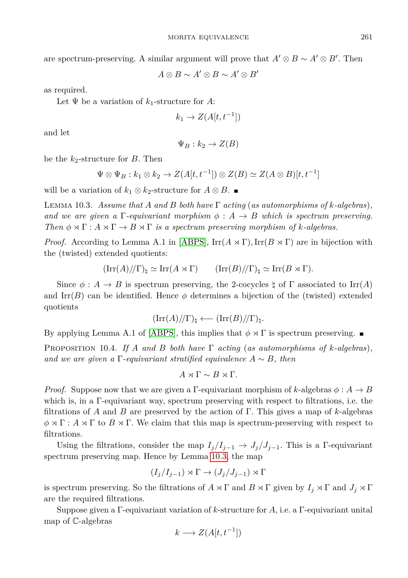are spectrum-preserving. A similar argument will prove that  $A' \otimes B \sim A' \otimes B'$ . Then

$$
A\otimes B\sim A'\otimes B\sim A'\otimes B'
$$

as required.

Let  $\Psi$  be a variation of  $k_1$ -structure for A:

$$
k_1 \to Z(A[t, t^{-1}])
$$

and let

$$
\Psi_B : k_2 \to Z(B)
$$

be the *k*2-structure for *B*. Then

$$
\Psi \otimes \Psi_B : k_1 \otimes k_2 \to Z(A[t, t^{-1}]) \otimes Z(B) \simeq Z(A \otimes B)[t, t^{-1}]
$$

will be a variation of  $k_1 \otimes k_2$ -structure for  $A \otimes B$ . ■

<span id="page-16-0"></span>Lemma 10.3. *Assume that A and B both have* Γ *acting* (*as automorphisms of k-algebras*)*, and we are given a*  $\Gamma$ *-equivariant morphism*  $\phi : A \rightarrow B$  *which is spectrum preserving. Then*  $\phi \rtimes \Gamma : A \rtimes \Gamma \rightarrow B \rtimes \Gamma$  *is a spectrum preserving morphism of k-algebras.* 

*Proof.* According to Lemma A.1 in [\[ABPS\]](#page-20-3),  $\text{Irr}(A \rtimes \Gamma)$ ,  $\text{Irr}(B \rtimes \Gamma)$  are in bijection with the (twisted) extended quotients:

$$
(\mathrm{Irr}(A)/\!/\Gamma)_{\natural} \simeq \mathrm{Irr}(A \rtimes \Gamma) \qquad (\mathrm{Irr}(B)/\!/\Gamma)_{\natural} \simeq \mathrm{Irr}(B \rtimes \Gamma).
$$

Since  $\phi : A \to B$  is spectrum preserving, the 2-cocycles  $\natural$  of  $\Gamma$  associated to Irr(*A*) and Irr(*B*) can be identified. Hence  $\phi$  determines a bijection of the (twisted) extended quotients

$$
(\mathrm{Irr}(A)/\!/\Gamma)_{\natural} \longleftarrow (\mathrm{Irr}(B)/\!/\Gamma)_{\natural}.
$$

By applying Lemma A.1 of [\[ABPS\]](#page-20-3), this implies that  $\phi \rtimes \Gamma$  is spectrum preserving.

PROPOSITION 10.4. If A and B both have  $\Gamma$  acting (as automorphisms of  $k$ -algebras), *and we are given a*  $\Gamma$ *-equivariant stratified equivalence*  $A \sim B$ *, then* 

$$
A \rtimes \Gamma \sim B \rtimes \Gamma.
$$

*Proof.* Suppose now that we are given a Γ-equivariant morphism of *k*-algebras  $\phi: A \rightarrow B$ which is, in a Γ-equivariant way, spectrum preserving with respect to filtrations, i.e. the filtrations of *A* and *B* are preserved by the action of Γ. This gives a map of *k*-algebras  $\phi \rtimes \Gamma : A \rtimes \Gamma$  to  $B \rtimes \Gamma$ . We claim that this map is spectrum-preserving with respect to filtrations.

Using the filtrations, consider the map  $I_j/I_{j-1} \to J_j/J_{j-1}$ . This is a Γ-equivariant spectrum preserving map. Hence by Lemma [10.3,](#page-16-0) the map

$$
(I_j/I_{j-1}) \rtimes \Gamma \to (J_j/J_{j-1}) \rtimes \Gamma
$$

is spectrum preserving. So the filtrations of  $A \rtimes \Gamma$  and  $B \rtimes \Gamma$  given by  $I_j \rtimes \Gamma$  and  $J_j \rtimes \Gamma$ are the required filtrations.

Suppose given a Γ-equivariant variation of *k*-structure for *A*, i.e. a Γ-equivariant unital map of C-algebras

$$
k \longrightarrow Z(A[t, t^{-1}])
$$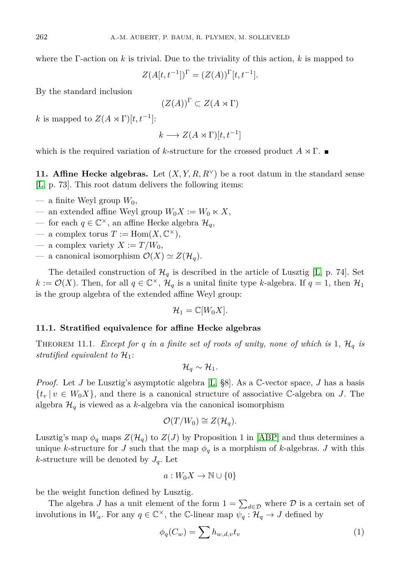where the Γ-action on *k* is trivial. Due to the triviality of this action, *k* is mapped to

$$
Z(A[t, t^{-1}])^{\Gamma} = (Z(A))^{\Gamma}[t, t^{-1}].
$$

By the standard inclusion

$$
(Z(A))^{\Gamma} \subset Z(A \rtimes \Gamma)
$$

*k* is mapped to  $Z(A \rtimes \Gamma)[t, t^{-1}]$ :

$$
k \longrightarrow Z(A \rtimes \Gamma)[t, t^{-1}]
$$

which is the required variation of *k*-structure for the crossed product  $A \rtimes \Gamma$ .

**11. Affine Hecke algebras.** Let  $(X, Y, R, R^{\vee})$  be a root datum in the standard sense [\[L,](#page-20-2) p. 73]. This root datum delivers the following items:

- $-$  a finite Weyl group  $W_0$ ,
- an extended affine Weyl group  $W_0X := W_0 \ltimes X$ ,
- for each *q* ∈  $\mathbb{C}^{\times}$ , an affine Hecke algebra  $\mathcal{H}_q$ ,
- $-$  a complex torus  $T := \text{Hom}(X, \mathbb{C}^{\times}),$
- a complex variety  $X := T/W_0$ ,
- a canonical isomorphism  $\mathcal{O}(X) \simeq Z(\mathcal{H}_q)$ .

The detailed construction of  $\mathcal{H}_q$  is described in the article of Lusztig [\[L,](#page-20-2) p. 74]. Set  $k := \mathcal{O}(X)$ . Then, for all  $q \in \mathbb{C}^{\times}$ ,  $\mathcal{H}_q$  is a unital finite type *k*-algebra. If  $q = 1$ , then  $\mathcal{H}_1$ is the group algebra of the extended affine Weyl group:

$$
\mathcal{H}_1=\mathbb{C}[W_0X].
$$

## <span id="page-17-1"></span>**11.1. Stratified equivalence for affine Hecke algebras**

THEOREM 11.1. *Except for*  $q$  *in a finite set of roots of unity, none of which is* 1,  $H_q$  *is stratified equivalent to*  $\mathcal{H}_1$ :

$$
\mathcal{H}_q\sim\mathcal{H}_1.
$$

*Proof.* Let *J* be Lusztig's asymptotic algebra [\[L,](#page-20-2) §8]. As a C-vector space, *J* has a basis  ${t_v | v \in W_0X}$ , and there is a canonical structure of associative C-algebra on *J*. The algebra  $\mathcal{H}_q$  is viewed as a *k*-algebra via the canonical isomorphism

$$
\mathcal{O}(T/W_0) \cong Z(\mathcal{H}_q).
$$

Lusztig's map  $\phi_q$  maps  $Z(\mathcal{H}_q)$  to  $Z(J)$  by Proposition 1 in [\[ABP\]](#page-20-6) and thus determines a unique *k*-structure for *J* such that the map  $\phi_q$  is a morphism of *k*-algebras. *J* with this *k*-structure will be denoted by  $J_q$ . Let

<span id="page-17-0"></span>
$$
a:W_0X\to\mathbb{N}\cup\{0\}
$$

be the weight function defined by Lusztig.

The algebra *J* has a unit element of the form  $1 = \sum_{d \in \mathcal{D}}$  where  $\mathcal{D}$  is a certain set of involutions in  $W_a$ . For any  $q \in \mathbb{C}^\times$ , the  $\mathbb{C}\text{-linear map } \psi_q : \mathcal{H}_q \to J$  defined by

$$
\phi_q(C_w) = \sum h_{w,d,v} t_v \tag{1}
$$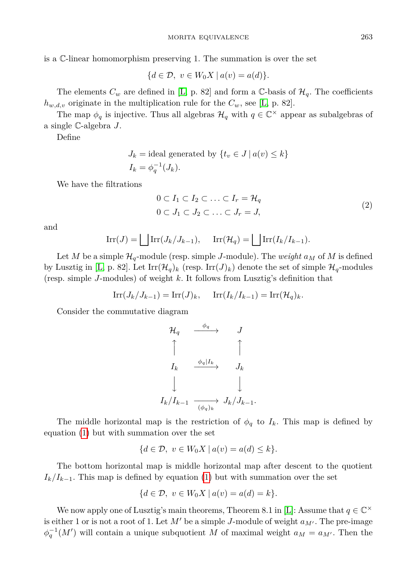$$
\{d \in \mathcal{D}, v \in W_0 X \mid a(v) = a(d)\}.
$$

The elements  $C_w$  are defined in [\[L,](#page-20-2) p. 82] and form a C-basis of  $\mathcal{H}_q$ . The coefficients  $h_{w,d,v}$  originate in the multiplication rule for the  $C_w$ , see [\[L,](#page-20-2) p. 82].

The map  $\phi_q$  is injective. Thus all algebras  $\mathcal{H}_q$  with  $q \in \mathbb{C}^\times$  appear as subalgebras of a single C-algebra *J*.

Define

$$
J_k
$$
 = ideal generated by  $\{t_v \in J \mid a(v) \leq k\}$   
 $I_k = \phi_q^{-1}(J_k).$ 

We have the filtrations

<span id="page-18-0"></span>
$$
0 \subset I_1 \subset I_2 \subset \ldots \subset I_r = \mathcal{H}_q
$$
  
 
$$
0 \subset J_1 \subset J_2 \subset \ldots \subset J_r = J,
$$
 (2)

and

$$
\operatorname{Irr}(J) = \bigsqcup \operatorname{Irr}(J_k/J_{k-1}), \quad \operatorname{Irr}(\mathcal{H}_q) = \bigsqcup \operatorname{Irr}(I_k/I_{k-1}).
$$

Let *M* be a simple  $\mathcal{H}_q$ -module (resp. simple *J*-module). The *weight*  $a_M$  of *M* is defined by Lusztig in [\[L,](#page-20-2) p. 82]. Let  $\text{Irr}(\mathcal{H}_q)_k$  (resp.  $\text{Irr}(J)_k$ ) denote the set of simple  $\mathcal{H}_q$ -modules (resp. simple *J*-modules) of weight *k*. It follows from Lusztig's definition that

$$
\operatorname{Irr}(J_k/J_{k-1}) = \operatorname{Irr}(J)_k, \quad \operatorname{Irr}(I_k/I_{k-1}) = \operatorname{Irr}(\mathcal{H}_q)_k.
$$

Consider the commutative diagram

$$
\begin{array}{ccc}\n\mathcal{H}_q & \xrightarrow{\phi_q} & J \\
\uparrow & & \uparrow \\
I_k & \xrightarrow{\phi_q | I_k} & J_k \\
\downarrow & & \downarrow \\
I_k/I_{k-1} & \xrightarrow{(\phi_q)_k} & J_k/J_{k-1}.\n\end{array}
$$

The middle horizontal map is the restriction of  $\phi_q$  to  $I_k$ . This map is defined by equation [\(1\)](#page-17-0) but with summation over the set

$$
\{d \in \mathcal{D}, v \in W_0 X \mid a(v) = a(d) \leq k\}.
$$

The bottom horizontal map is middle horizontal map after descent to the quotient  $I_k/I_{k-1}$ . This map is defined by equation [\(1\)](#page-17-0) but with summation over the set

$$
\{d \in \mathcal{D}, \ v \in W_0 X \mid a(v) = a(d) = k\}.
$$

We now apply one of Lusztig's main theorems, Theorem 8.1 in [\[L\]](#page-20-2): Assume that  $q \in \mathbb{C}^{\times}$ is either 1 or is not a root of 1. Let  $M'$  be a simple *J*-module of weight  $a_{M'}$ . The pre-image  $\phi_q^{-1}(M')$  will contain a unique subquotient *M* of maximal weight  $a_M = a_{M'}$ . Then the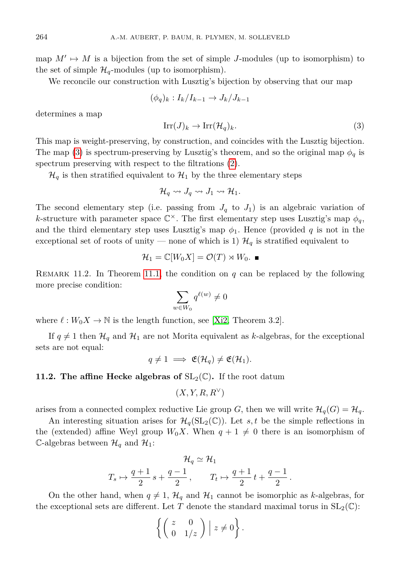map  $M' \mapsto M$  is a bijection from the set of simple *J*-modules (up to isomorphism) to the set of simple  $\mathcal{H}_q$ -modules (up to isomorphism).

We reconcile our construction with Lusztig's bijection by observing that our map

<span id="page-19-0"></span>
$$
(\phi_q)_k : I_k/I_{k-1} \to J_k/J_{k-1}
$$

determines a map

$$
\operatorname{Irr}(J)_k \to \operatorname{Irr}(\mathcal{H}_q)_k. \tag{3}
$$

This map is weight-preserving, by construction, and coincides with the Lusztig bijection. The map [\(3\)](#page-19-0) is spectrum-preserving by Lusztig's theorem, and so the original map  $\phi_q$  is spectrum preserving with respect to the filtrations [\(2\)](#page-18-0).

 $\mathcal{H}_q$  is then stratified equivalent to  $\mathcal{H}_1$  by the three elementary steps

$$
\mathcal{H}_q \rightsquigarrow J_q \rightsquigarrow J_1 \rightsquigarrow \mathcal{H}_1.
$$

The second elementary step (i.e. passing from  $J_q$  to  $J_1$ ) is an algebraic variation of *k*-structure with parameter space  $\mathbb{C}^{\times}$ . The first elementary step uses Lusztig's map  $\phi_q$ , and the third elementary step uses Lusztig's map  $\phi_1$ . Hence (provided *q* is not in the exceptional set of roots of unity — none of which is 1)  $\mathcal{H}_q$  is stratified equivalent to

$$
\mathcal{H}_1 = \mathbb{C}[W_0 X] = \mathcal{O}(T) \rtimes W_0.
$$

REMARK 11.2. In Theorem [11.1,](#page-17-1) the condition on  $q$  can be replaced by the following more precise condition:

$$
\sum_{w\in W_0}q^{\ell(w)}\neq 0
$$

where  $\ell : W_0 X \to \mathbb{N}$  is the length function, see [\[Xi2,](#page-20-7) Theorem 3.2].

If  $q \neq 1$  then  $\mathcal{H}_q$  and  $\mathcal{H}_1$  are not Morita equivalent as *k*-algebras, for the exceptional sets are not equal:

$$
q \neq 1 \implies \mathfrak{E}(\mathcal{H}_q) \neq \mathfrak{E}(\mathcal{H}_1).
$$

## **11.2. The affine Hecke algebras of**  $SL_2(\mathbb{C})$ . If the root datum

$$
(X, Y, R, R^{\vee})
$$

arises from a connected complex reductive Lie group *G*, then we will write  $\mathcal{H}_q(G) = \mathcal{H}_q$ .

An interesting situation arises for  $\mathcal{H}_q(SL_2(\mathbb{C}))$ . Let *s*, *t* be the simple reflections in the (extended) affine Weyl group  $W_0X$ . When  $q+1 \neq 0$  there is an isomorphism of C-algebras between  $\mathcal{H}_q$  and  $\mathcal{H}_1$ :

$$
\mathcal{H}_q \simeq \mathcal{H}_1
$$
  

$$
T_s \mapsto \frac{q+1}{2} s + \frac{q-1}{2}, \qquad T_t \mapsto \frac{q+1}{2} t + \frac{q-1}{2}.
$$

On the other hand, when  $q \neq 1$ ,  $\mathcal{H}_q$  and  $\mathcal{H}_1$  cannot be isomorphic as *k*-algebras, for the exceptional sets are different. Let T denote the standard maximal torus in  $SL_2(\mathbb{C})$ :

$$
\left\{ \left( \begin{array}{cc} z & 0 \\ 0 & 1/z \end{array} \right) \middle| z \neq 0 \right\}.
$$